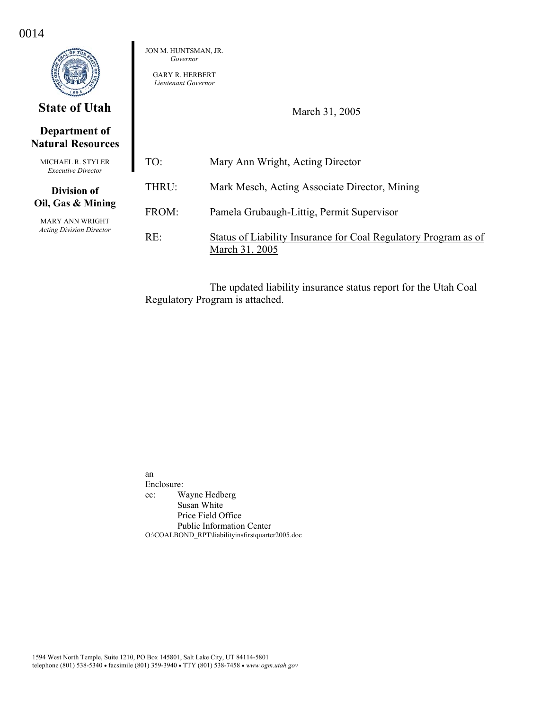|                                                | JON M. HUNTSMAN, JR.<br>Governor<br><b>GARY R. HERBERT</b><br>Lieutenant Governor |                                                                                   |  |  |  |  |
|------------------------------------------------|-----------------------------------------------------------------------------------|-----------------------------------------------------------------------------------|--|--|--|--|
| <b>State of Utah</b>                           |                                                                                   | March 31, 2005                                                                    |  |  |  |  |
| Department of<br><b>Natural Resources</b>      |                                                                                   |                                                                                   |  |  |  |  |
| MICHAEL R. STYLER<br><b>Executive Director</b> | TO:                                                                               | Mary Ann Wright, Acting Director                                                  |  |  |  |  |
| <b>Division of</b>                             | THRU:                                                                             | Mark Mesch, Acting Associate Director, Mining                                     |  |  |  |  |
| Oil, Gas & Mining<br><b>MARY ANN WRIGHT</b>    | FROM:                                                                             | Pamela Grubaugh-Littig, Permit Supervisor                                         |  |  |  |  |
| <b>Acting Division Director</b>                | RE:                                                                               | Status of Liability Insurance for Coal Regulatory Program as of<br>March 31, 2005 |  |  |  |  |

0014

The updated liability insurance status report for the Utah Coal Regulatory Program is attached.

an Enclosure: cc: Wayne Hedberg Susan White Price Field Office Public Information Center O:\COALBOND\_RPT\liabilityinsfirstquarter2005.doc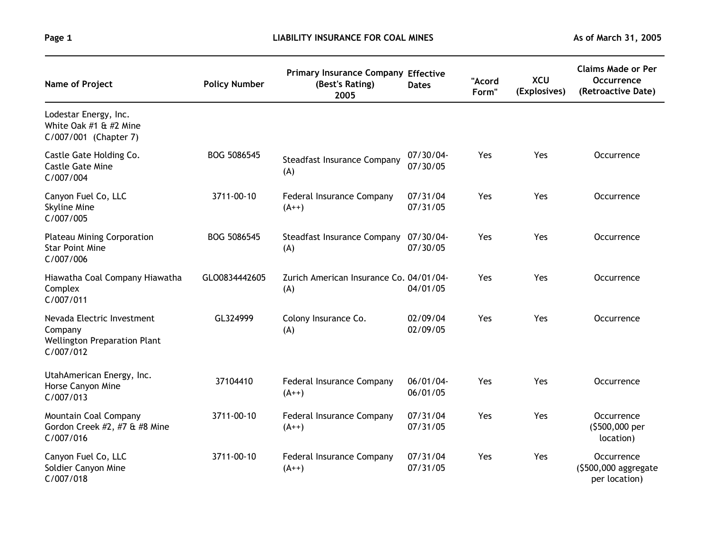| Name of Project                                                                           | <b>Policy Number</b> | <b>Primary Insurance Company Effective</b><br>(Best's Rating)<br>2005 | <b>Dates</b>          | "Acord<br>Form" | <b>XCU</b><br>(Explosives) | <b>Claims Made or Per</b><br>Occurrence<br>(Retroactive Date) |
|-------------------------------------------------------------------------------------------|----------------------|-----------------------------------------------------------------------|-----------------------|-----------------|----------------------------|---------------------------------------------------------------|
| Lodestar Energy, Inc.<br>White Oak #1 & #2 Mine<br>C/007/001 (Chapter 7)                  |                      |                                                                       |                       |                 |                            |                                                               |
| Castle Gate Holding Co.<br><b>Castle Gate Mine</b><br>C/007/004                           | BOG 5086545          | <b>Steadfast Insurance Company</b><br>(A)                             | 07/30/04-<br>07/30/05 | Yes             | Yes                        | Occurrence                                                    |
| Canyon Fuel Co, LLC<br>Skyline Mine<br>C/007/005                                          | 3711-00-10           | Federal Insurance Company<br>$(A++)$                                  | 07/31/04<br>07/31/05  | Yes             | Yes                        | Occurrence                                                    |
| <b>Plateau Mining Corporation</b><br><b>Star Point Mine</b><br>C/007/006                  | BOG 5086545          | Steadfast Insurance Company<br>(A)                                    | 07/30/04-<br>07/30/05 | Yes             | Yes                        | Occurrence                                                    |
| Hiawatha Coal Company Hiawatha<br>Complex<br>C/007/011                                    | GLO0834442605        | Zurich American Insurance Co. 04/01/04-<br>(A)                        | 04/01/05              | Yes             | Yes                        | Occurrence                                                    |
| Nevada Electric Investment<br>Company<br><b>Wellington Preparation Plant</b><br>C/007/012 | GL324999             | Colony Insurance Co.<br>(A)                                           | 02/09/04<br>02/09/05  | Yes             | Yes                        | Occurrence                                                    |
| UtahAmerican Energy, Inc.<br>Horse Canyon Mine<br>C/007/013                               | 37104410             | Federal Insurance Company<br>$(A++)$                                  | 06/01/04-<br>06/01/05 | Yes             | Yes                        | Occurrence                                                    |
| Mountain Coal Company<br>Gordon Creek #2, #7 & #8 Mine<br>C/007/016                       | 3711-00-10           | Federal Insurance Company<br>$(A++)$                                  | 07/31/04<br>07/31/05  | Yes             | Yes                        | Occurrence<br>(\$500,000 per<br>location)                     |
| Canyon Fuel Co, LLC<br>Soldier Canyon Mine<br>C/007/018                                   | 3711-00-10           | Federal Insurance Company<br>$(A++)$                                  | 07/31/04<br>07/31/05  | Yes             | Yes                        | Occurrence<br>(\$500,000 aggregate<br>per location)           |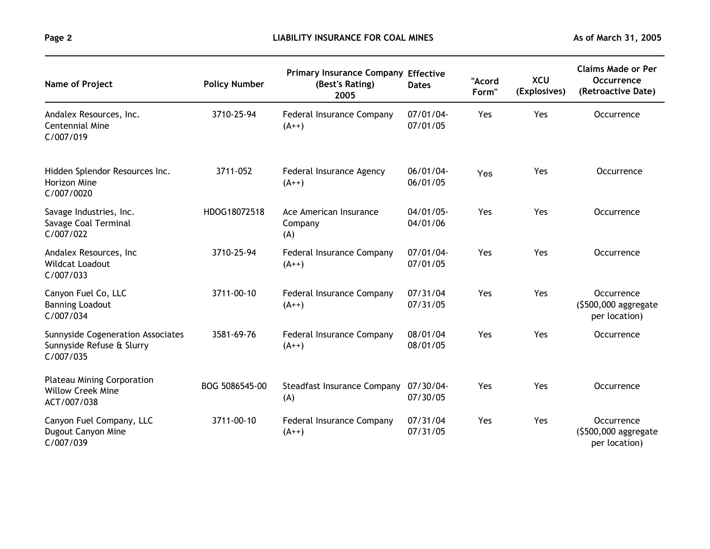| Name of Project                                                                    | <b>Policy Number</b> | <b>Primary Insurance Company Effective</b><br>(Best's Rating)<br>2005 | <b>Dates</b>             | "Acord<br>Form" | <b>XCU</b><br>(Explosives) | <b>Claims Made or Per</b><br>Occurrence<br>(Retroactive Date) |
|------------------------------------------------------------------------------------|----------------------|-----------------------------------------------------------------------|--------------------------|-----------------|----------------------------|---------------------------------------------------------------|
| Andalex Resources, Inc.<br><b>Centennial Mine</b><br>C/007/019                     | 3710-25-94           | Federal Insurance Company<br>$(A++)$                                  | 07/01/04-<br>07/01/05    | Yes             | Yes                        | Occurrence                                                    |
| Hidden Splendor Resources Inc.<br>Horizon Mine<br>C/007/0020                       | 3711-052             | Federal Insurance Agency<br>$(A++)$                                   | 06/01/04-<br>06/01/05    | Yes             | Yes                        | Occurrence                                                    |
| Savage Industries, Inc.<br>Savage Coal Terminal<br>C/007/022                       | HDOG18072518         | Ace American Insurance<br>Company<br>(A)                              | $04/01/05$ -<br>04/01/06 | Yes             | Yes                        | Occurrence                                                    |
| Andalex Resources, Inc.<br><b>Wildcat Loadout</b><br>C/007/033                     | 3710-25-94           | Federal Insurance Company<br>$(A++)$                                  | 07/01/04-<br>07/01/05    | Yes             | Yes                        | Occurrence                                                    |
| Canyon Fuel Co, LLC<br><b>Banning Loadout</b><br>C/007/034                         | 3711-00-10           | Federal Insurance Company<br>$(A^{++})$                               | 07/31/04<br>07/31/05     | Yes             | Yes                        | Occurrence<br>$(5500,000$ aggregate<br>per location)          |
| <b>Sunnyside Cogeneration Associates</b><br>Sunnyside Refuse & Slurry<br>C/007/035 | 3581-69-76           | Federal Insurance Company<br>$(A++)$                                  | 08/01/04<br>08/01/05     | Yes             | Yes                        | Occurrence                                                    |
| <b>Plateau Mining Corporation</b><br><b>Willow Creek Mine</b><br>ACT/007/038       | BOG 5086545-00       | Steadfast Insurance Company<br>(A)                                    | 07/30/04-<br>07/30/05    | Yes             | Yes                        | Occurrence                                                    |
| Canyon Fuel Company, LLC<br>Dugout Canyon Mine<br>C/007/039                        | 3711-00-10           | Federal Insurance Company<br>$(A^{++})$                               | 07/31/04<br>07/31/05     | Yes             | Yes                        | Occurrence<br>(\$500,000 aggregate<br>per location)           |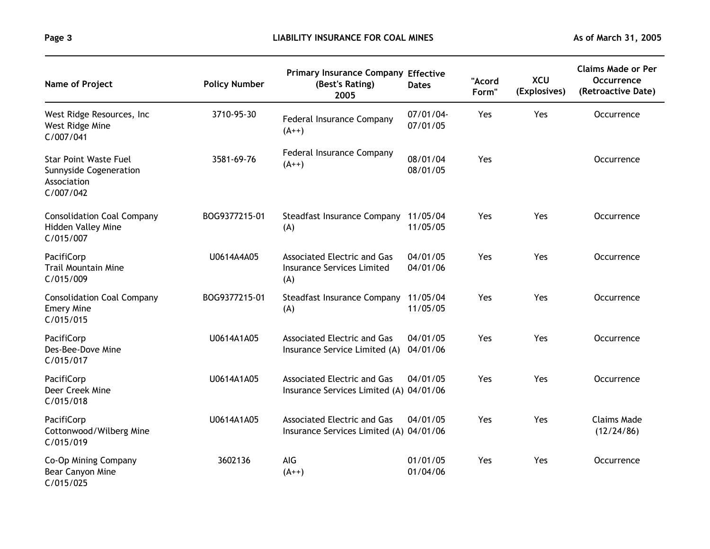| Name of Project                                                                           | <b>Policy Number</b> | <b>Primary Insurance Company Effective</b><br>(Best's Rating)<br>2005          | <b>Dates</b>          | "Acord<br>Form" | <b>XCU</b><br>(Explosives) | <b>Claims Made or Per</b><br>Occurrence<br>(Retroactive Date) |
|-------------------------------------------------------------------------------------------|----------------------|--------------------------------------------------------------------------------|-----------------------|-----------------|----------------------------|---------------------------------------------------------------|
| West Ridge Resources, Inc.<br>West Ridge Mine<br>C/007/041                                | 3710-95-30           | Federal Insurance Company<br>$(A^{++})$                                        | 07/01/04-<br>07/01/05 | Yes             | Yes                        | Occurrence                                                    |
| <b>Star Point Waste Fuel</b><br><b>Sunnyside Cogeneration</b><br>Association<br>C/007/042 | 3581-69-76           | Federal Insurance Company<br>$(A++)$                                           | 08/01/04<br>08/01/05  | Yes             |                            | Occurrence                                                    |
| <b>Consolidation Coal Company</b><br>Hidden Valley Mine<br>C/015/007                      | BOG9377215-01        | Steadfast Insurance Company 11/05/04<br>(A)                                    | 11/05/05              | Yes             | Yes                        | Occurrence                                                    |
| PacifiCorp<br><b>Trail Mountain Mine</b><br>C/015/009                                     | U0614A4A05           | <b>Associated Electric and Gas</b><br><b>Insurance Services Limited</b><br>(A) | 04/01/05<br>04/01/06  | Yes             | Yes                        | Occurrence                                                    |
| <b>Consolidation Coal Company</b><br><b>Emery Mine</b><br>C/015/015                       | BOG9377215-01        | Steadfast Insurance Company<br>(A)                                             | 11/05/04<br>11/05/05  | Yes             | Yes                        | Occurrence                                                    |
| PacifiCorp<br>Des-Bee-Dove Mine<br>C/015/017                                              | U0614A1A05           | <b>Associated Electric and Gas</b><br>Insurance Service Limited (A)            | 04/01/05<br>04/01/06  | Yes             | Yes                        | Occurrence                                                    |
| PacifiCorp<br>Deer Creek Mine<br>C/015/018                                                | U0614A1A05           | <b>Associated Electric and Gas</b><br>Insurance Services Limited (A) 04/01/06  | 04/01/05              | Yes             | Yes                        | Occurrence                                                    |
| PacifiCorp<br>Cottonwood/Wilberg Mine<br>C/015/019                                        | U0614A1A05           | Associated Electric and Gas<br>Insurance Services Limited (A) 04/01/06         | 04/01/05              | Yes             | Yes                        | <b>Claims Made</b><br>(12/24/86)                              |
| Co-Op Mining Company<br>Bear Canyon Mine<br>C/015/025                                     | 3602136              | AIG<br>$(A++)$                                                                 | 01/01/05<br>01/04/06  | Yes             | Yes                        | Occurrence                                                    |